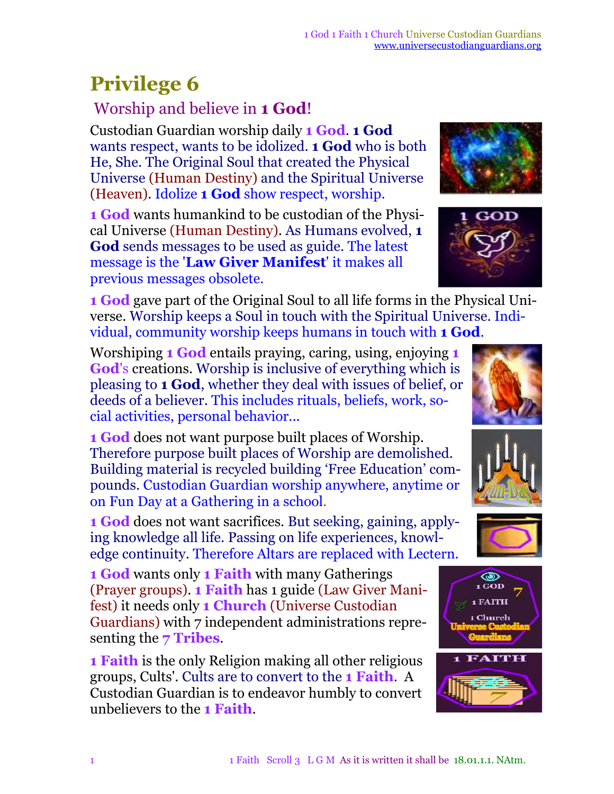## **Privilege 6**

## Worship and believe in **1 God**!

Custodian Guardian worship daily **1 God**. **1 God** wants respect, wants to be idolized. **1 God** who is both He, She. The Original Soul that created the Physical Universe (Human Destiny) and the Spiritual Universe (Heaven). Idolize **1 God** show respect, worship.

**1 God** wants humankind to be custodian of the Physical Universe (Human Destiny). As Humans evolved, **1 God** sends messages to be used as guide. The latest message is the '**Law Giver Manifest**' it makes all previous messages obsolete.

**1 God** gave part of the Original Soul to all life forms in the Physical Universe. Worship keeps a Soul in touch with the Spiritual Universe. Individual, community worship keeps humans in touch with **1 God**.

Worshiping **1 God** entails praying, caring, using, enjoying **1 God**'s creations. Worship is inclusive of everything which is pleasing to **1 God**, whether they deal with issues of belief, or deeds of a believer. This includes rituals, beliefs, work, social activities, personal behavior...

**1 God** does not want purpose built places of Worship. Therefore purpose built places of Worship are demolished. Building material is recycled building 'Free Education' compounds. Custodian Guardian worship anywhere, anytime or on Fun Day at a Gathering in a school.

**1 God** does not want sacrifices. But seeking, gaining, applying knowledge all life. Passing on life experiences, knowledge continuity. Therefore Altars are replaced with Lectern.

**1 God** wants only **1 Faith** with many Gatherings (Prayer groups). **1 Faith** has 1 guide (Law Giver Manifest) it needs only **1 Church** (Universe Custodian Guardians) with 7 independent administrations representing the **7 Tribes**.

**1 Faith** is the only Religion making all other religious groups, Cults'. Cults are to convert to the **1 Faith**. A Custodian Guardian is to endeavor humbly to convert unbelievers to the **1 Faith**.



ЮĐ